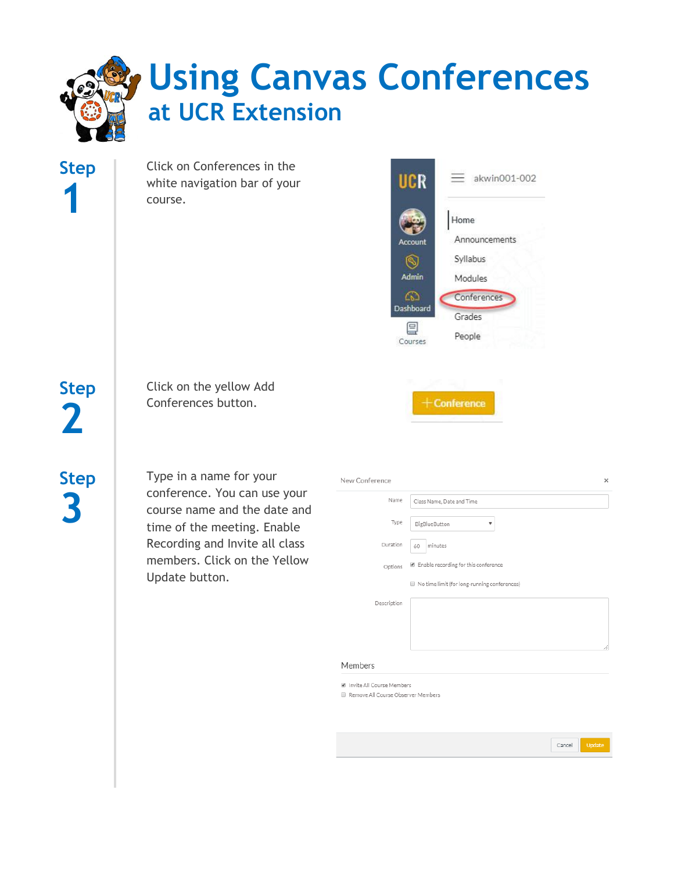# **Using Canvas Conferences at UCR Extension**

Click on Conferences in the white navigation bar of your course.



 $+$ Conference

Click on the yellow Add Conferences button.

**Step 3**

**Step**

**2**

**Step**

**1**

Type in a name for your conference. You can use your course name and the date and time of the meeting. Enable Recording and Invite all class members. Click on the Yellow Update button.

| New Conference |                                              | × |
|----------------|----------------------------------------------|---|
| Name           | Class Name, Date and Time                    |   |
| Type           | BigBlueButton<br>▼                           |   |
| Duration       | minutes<br>60                                |   |
| Options        | ■ Enable recording for this conference       |   |
|                | No time limit (for long-running conferences) |   |
| Description    |                                              |   |
|                |                                              |   |
|                |                                              | 4 |

### Members

**Z** Invite All Course Members

Remove All Course Observer Members

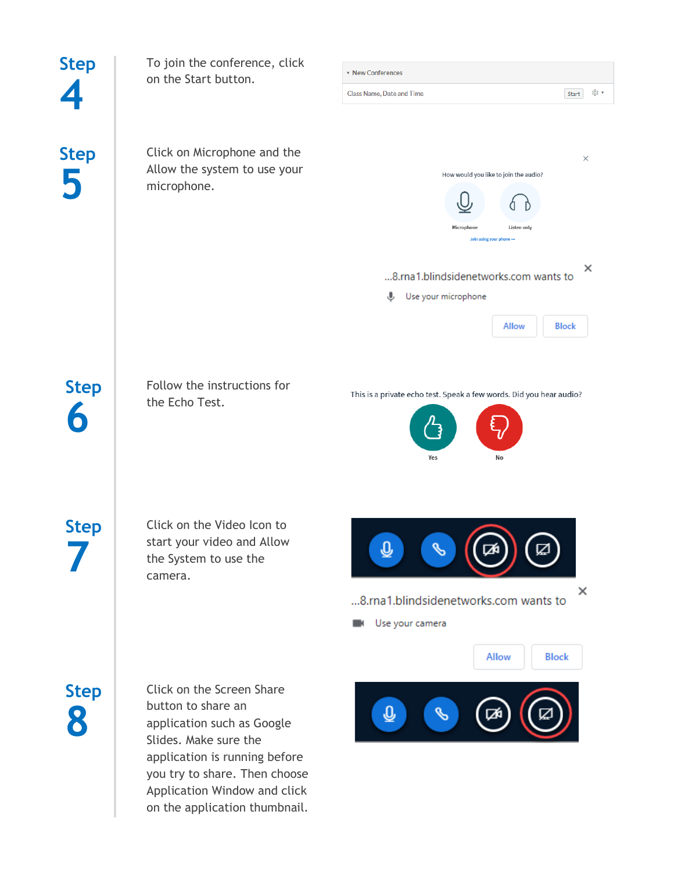| <b>Step</b> | To join the conference, click                                                                                                                                                                                                             |                                                                                                                                                                     |  |
|-------------|-------------------------------------------------------------------------------------------------------------------------------------------------------------------------------------------------------------------------------------------|---------------------------------------------------------------------------------------------------------------------------------------------------------------------|--|
|             | on the Start button.                                                                                                                                                                                                                      | * New Conferences                                                                                                                                                   |  |
|             |                                                                                                                                                                                                                                           | ⊗ ∗<br><b>Class Name, Date and Time</b><br>Start                                                                                                                    |  |
| <b>Step</b> | Click on Microphone and the<br>Allow the system to use your<br>microphone.                                                                                                                                                                | $\times$<br>How would you like to join the audio?<br>Microphone<br>Listen only<br>Join using your phone $\rightarrow$<br>×<br>8.rna1.blindsidenetworks.com wants to |  |
|             |                                                                                                                                                                                                                                           | Use your microphone<br>⋓                                                                                                                                            |  |
|             |                                                                                                                                                                                                                                           | Allow<br><b>Block</b>                                                                                                                                               |  |
| <b>Step</b> | Follow the instructions for<br>the Echo Test.                                                                                                                                                                                             | This is a private echo test. Speak a few words. Did you hear audio?<br>Yes<br>No                                                                                    |  |
| Step        | Click on the Video Icon to<br>start your video and Allow<br>the System to use the<br>camera.                                                                                                                                              | ℚ<br>×<br>8.rna1.blindsidenetworks.com wants to<br>Use your camera                                                                                                  |  |
| <b>Step</b> | Click on the Screen Share<br>button to share an<br>application such as Google<br>Slides. Make sure the<br>application is running before<br>you try to share. Then choose<br>Application Window and click<br>on the application thumbnail. | Allow<br><b>Block</b><br>$\overline{\mathbb{Q}}$                                                                                                                    |  |